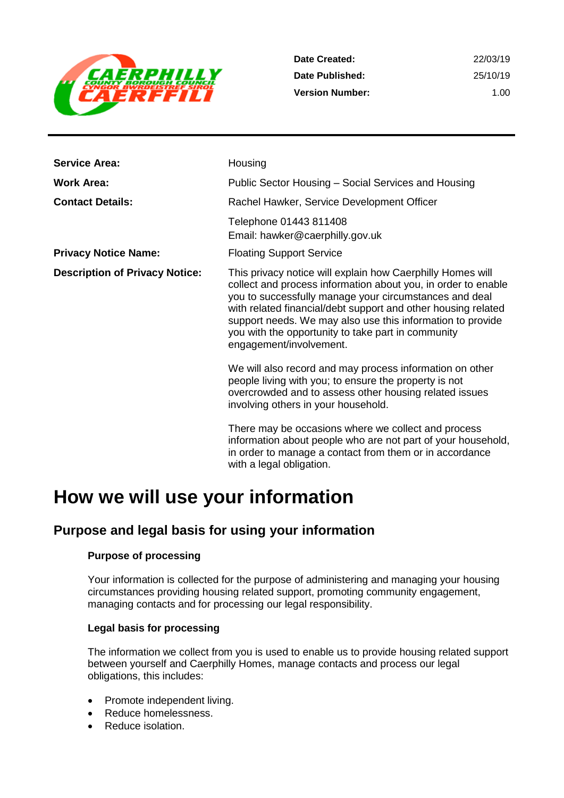

**Date Created: Date Published: Version Number:** 22/03/19 25/10/19 1.00

| <b>Service Area:</b>                  | Housing                                                                                                                                                                                                                                                                                                                                                                                               |
|---------------------------------------|-------------------------------------------------------------------------------------------------------------------------------------------------------------------------------------------------------------------------------------------------------------------------------------------------------------------------------------------------------------------------------------------------------|
| <b>Work Area:</b>                     | Public Sector Housing – Social Services and Housing                                                                                                                                                                                                                                                                                                                                                   |
| <b>Contact Details:</b>               | Rachel Hawker, Service Development Officer                                                                                                                                                                                                                                                                                                                                                            |
|                                       | Telephone 01443 811408<br>Email: hawker@caerphilly.gov.uk                                                                                                                                                                                                                                                                                                                                             |
| <b>Privacy Notice Name:</b>           | <b>Floating Support Service</b>                                                                                                                                                                                                                                                                                                                                                                       |
| <b>Description of Privacy Notice:</b> | This privacy notice will explain how Caerphilly Homes will<br>collect and process information about you, in order to enable<br>you to successfully manage your circumstances and deal<br>with related financial/debt support and other housing related<br>support needs. We may also use this information to provide<br>you with the opportunity to take part in community<br>engagement/involvement. |
|                                       | We will also record and may process information on other<br>people living with you; to ensure the property is not<br>overcrowded and to assess other housing related issues<br>involving others in your household.                                                                                                                                                                                    |
|                                       | There may be occasions where we collect and process<br>information about people who are not part of your household,<br>in order to manage a contact from them or in accordance<br>with a legal obligation.                                                                                                                                                                                            |

## **How we will use your information**

## **Purpose and legal basis for using your information**

#### **Purpose of processing**

Your information is collected for the purpose of administering and managing your housing circumstances providing housing related support, promoting community engagement, managing contacts and for processing our legal responsibility.

#### **Legal basis for processing**

The information we collect from you is used to enable us to provide housing related support between yourself and Caerphilly Homes, manage contacts and process our legal obligations, this includes:

- Promote independent living.
- Reduce homelessness.
- Reduce isolation.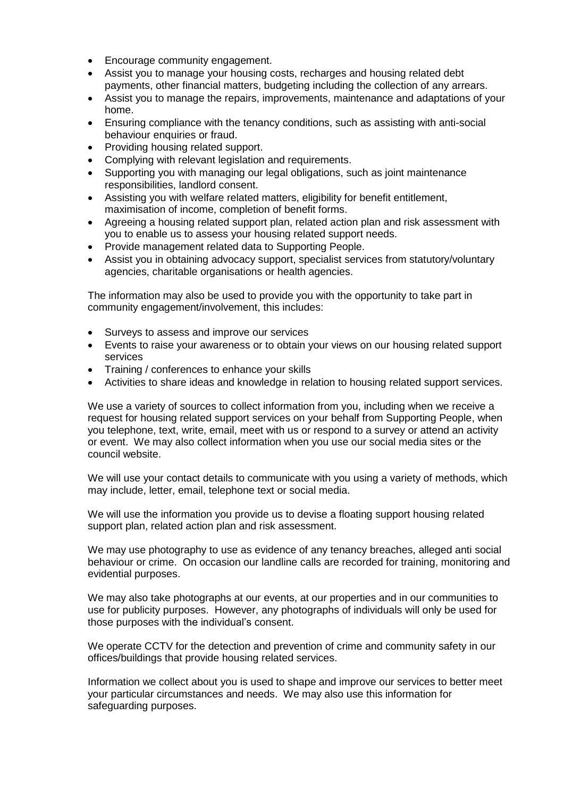- Encourage community engagement.
- Assist you to manage your housing costs, recharges and housing related debt payments, other financial matters, budgeting including the collection of any arrears.
- Assist you to manage the repairs, improvements, maintenance and adaptations of your home.
- Ensuring compliance with the tenancy conditions, such as assisting with anti-social behaviour enquiries or fraud.
- Providing housing related support.
- Complying with relevant legislation and requirements.
- Supporting you with managing our legal obligations, such as joint maintenance responsibilities, landlord consent.
- Assisting you with welfare related matters, eligibility for benefit entitlement, maximisation of income, completion of benefit forms.
- Agreeing a housing related support plan, related action plan and risk assessment with you to enable us to assess your housing related support needs.
- Provide management related data to Supporting People.
- Assist you in obtaining advocacy support, specialist services from statutory/voluntary agencies, charitable organisations or health agencies.

The information may also be used to provide you with the opportunity to take part in community engagement/involvement, this includes:

- Surveys to assess and improve our services
- Events to raise your awareness or to obtain your views on our housing related support services
- Training / conferences to enhance your skills
- Activities to share ideas and knowledge in relation to housing related support services.

We use a variety of sources to collect information from you, including when we receive a request for housing related support services on your behalf from Supporting People, when you telephone, text, write, email, meet with us or respond to a survey or attend an activity or event. We may also collect information when you use our social media sites or the council website.

We will use your contact details to communicate with you using a variety of methods, which may include, letter, email, telephone text or social media.

We will use the information you provide us to devise a floating support housing related support plan, related action plan and risk assessment.

We may use photography to use as evidence of any tenancy breaches, alleged anti social behaviour or crime. On occasion our landline calls are recorded for training, monitoring and evidential purposes.

We may also take photographs at our events, at our properties and in our communities to use for publicity purposes. However, any photographs of individuals will only be used for those purposes with the individual's consent.

We operate CCTV for the detection and prevention of crime and community safety in our offices/buildings that provide housing related services.

Information we collect about you is used to shape and improve our services to better meet your particular circumstances and needs. We may also use this information for safeguarding purposes.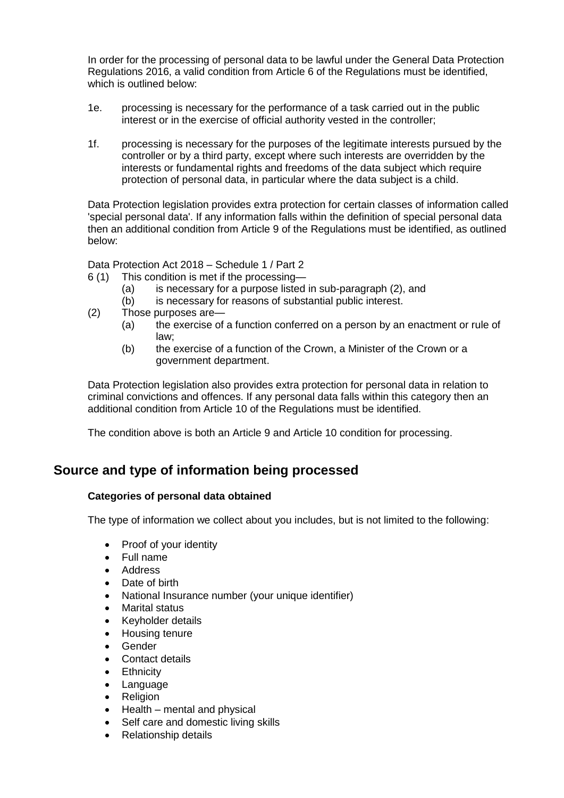In order for the processing of personal data to be lawful under the General Data Protection Regulations 2016, a valid condition from Article 6 of the Regulations must be identified, which is outlined below:

- 1e. processing is necessary for the performance of a task carried out in the public interest or in the exercise of official authority vested in the controller;
- 1f. processing is necessary for the purposes of the legitimate interests pursued by the controller or by a third party, except where such interests are overridden by the interests or fundamental rights and freedoms of the data subject which require protection of personal data, in particular where the data subject is a child.

Data Protection legislation provides extra protection for certain classes of information called 'special personal data'. If any information falls within the definition of special personal data then an additional condition from Article 9 of the Regulations must be identified, as outlined below:

Data Protection Act 2018 – Schedule 1 / Part 2

- 6 (1) This condition is met if the processing—
	- (a) is necessary for a purpose listed in sub-paragraph (2), and
	- (b) is necessary for reasons of substantial public interest.
- (2) Those purposes are—
	- (a) the exercise of a function conferred on a person by an enactment or rule of law;
	- (b) the exercise of a function of the Crown, a Minister of the Crown or a government department.

Data Protection legislation also provides extra protection for personal data in relation to criminal convictions and offences. If any personal data falls within this category then an additional condition from Article 10 of the Regulations must be identified.

The condition above is both an Article 9 and Article 10 condition for processing.

## **Source and type of information being processed**

#### **Categories of personal data obtained**

The type of information we collect about you includes, but is not limited to the following:

- Proof of your identity
- Full name
- Address
- Date of birth
- National Insurance number (your unique identifier)
- Marital status
- Keyholder details
- Housing tenure
- Gender
- Contact details
- Ethnicity
- **Language**
- Religion
- Health mental and physical
- Self care and domestic living skills
- Relationship details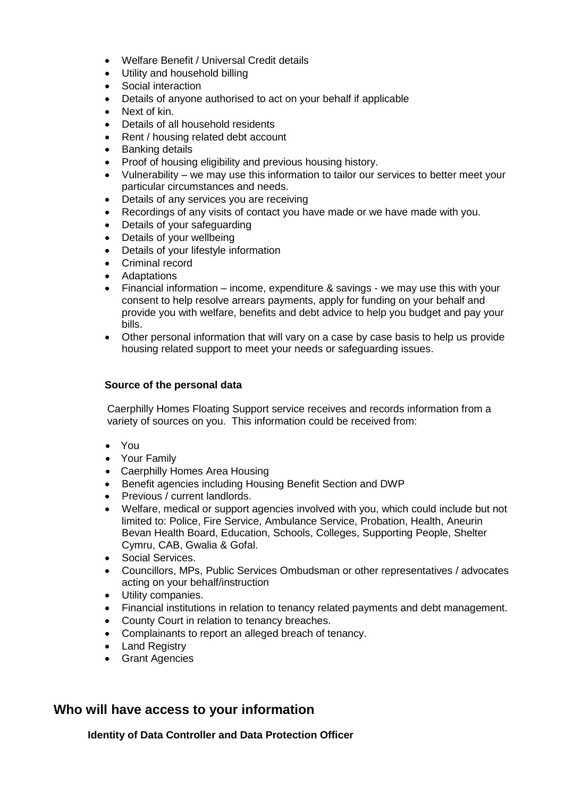- Welfare Benefit / Universal Credit details
- Utility and household billing
- Social interaction
- Details of anyone authorised to act on your behalf if applicable
- Next of kin.
- Details of all household residents
- Rent / housing related debt account
- Banking details
- Proof of housing eligibility and previous housing history.
- Vulnerability we may use this information to tailor our services to better meet your particular circumstances and needs.
- Details of any services you are receiving
- Recordings of any visits of contact you have made or we have made with you.
- Details of your safeguarding
- Details of your wellbeing
- Details of your lifestyle information
- Criminal record
- Adaptations
- Financial information income, expenditure & savings we may use this with your consent to help resolve arrears payments, apply for funding on your behalf and provide you with welfare, benefits and debt advice to help you budget and pay your bills.
- Other personal information that will vary on a case by case basis to help us provide housing related support to meet your needs or safeguarding issues.

#### **Source of the personal data**

Caerphilly Homes Floating Support service receives and records information from a variety of sources on you. This information could be received from:

- You
- Your Family
- Caerphilly Homes Area Housing
- Benefit agencies including Housing Benefit Section and DWP
- Previous / current landlords.
- Welfare, medical or support agencies involved with you, which could include but not limited to: Police, Fire Service, Ambulance Service, Probation, Health, Aneurin Bevan Health Board, Education, Schools, Colleges, Supporting People, Shelter Cymru, CAB, Gwalia & Gofal.
- Social Services.
- Councillors, MPs, Public Services Ombudsman or other representatives / advocates acting on your behalf/instruction
- Utility companies.
- Financial institutions in relation to tenancy related payments and debt management.
- County Court in relation to tenancy breaches.
- Complainants to report an alleged breach of tenancy.
- Land Registry
- Grant Agencies

## **Who will have access to your information**

**Identity of Data Controller and Data Protection Officer**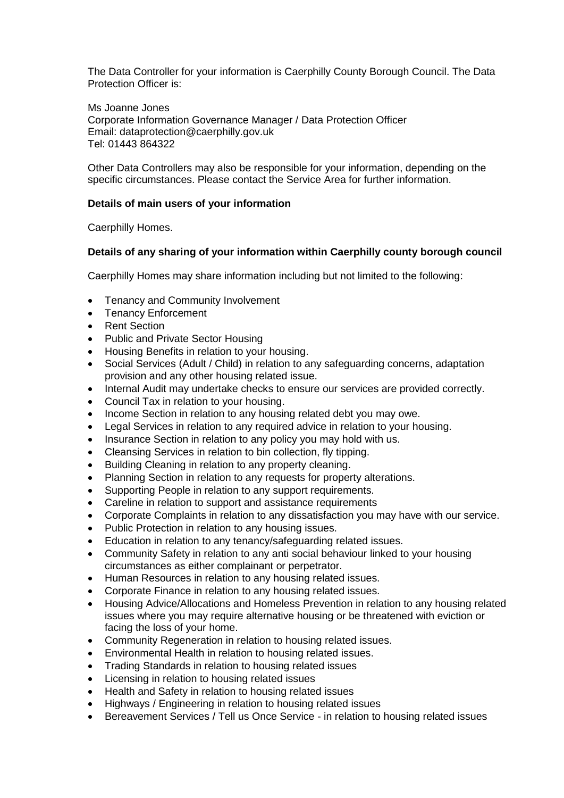The Data Controller for your information is Caerphilly County Borough Council. The Data Protection Officer is:

Ms Joanne Jones Corporate Information Governance Manager / Data Protection Officer Email: dataprotection@caerphilly.gov.uk Tel: 01443 864322

Other Data Controllers may also be responsible for your information, depending on the specific circumstances. Please contact the Service Area for further information.

#### **Details of main users of your information**

Caerphilly Homes.

#### **Details of any sharing of your information within Caerphilly county borough council**

Caerphilly Homes may share information including but not limited to the following:

- Tenancy and Community Involvement
- Tenancy Enforcement
- Rent Section
- Public and Private Sector Housing
- Housing Benefits in relation to your housing.
- Social Services (Adult / Child) in relation to any safeguarding concerns, adaptation provision and any other housing related issue.
- Internal Audit may undertake checks to ensure our services are provided correctly.
- Council Tax in relation to your housing.
- Income Section in relation to any housing related debt you may owe.
- Legal Services in relation to any required advice in relation to your housing.
- Insurance Section in relation to any policy you may hold with us.
- Cleansing Services in relation to bin collection, fly tipping.
- Building Cleaning in relation to any property cleaning.
- Planning Section in relation to any requests for property alterations.
- Supporting People in relation to any support requirements.
- Careline in relation to support and assistance requirements
- Corporate Complaints in relation to any dissatisfaction you may have with our service.
- Public Protection in relation to any housing issues.
- Education in relation to any tenancy/safeguarding related issues.
- Community Safety in relation to any anti social behaviour linked to your housing circumstances as either complainant or perpetrator.
- Human Resources in relation to any housing related issues.
- Corporate Finance in relation to any housing related issues.
- Housing Advice/Allocations and Homeless Prevention in relation to any housing related issues where you may require alternative housing or be threatened with eviction or facing the loss of your home.
- Community Regeneration in relation to housing related issues.
- Environmental Health in relation to housing related issues.
- Trading Standards in relation to housing related issues
- Licensing in relation to housing related issues
- Health and Safety in relation to housing related issues
- Highways / Engineering in relation to housing related issues
- Bereavement Services / Tell us Once Service in relation to housing related issues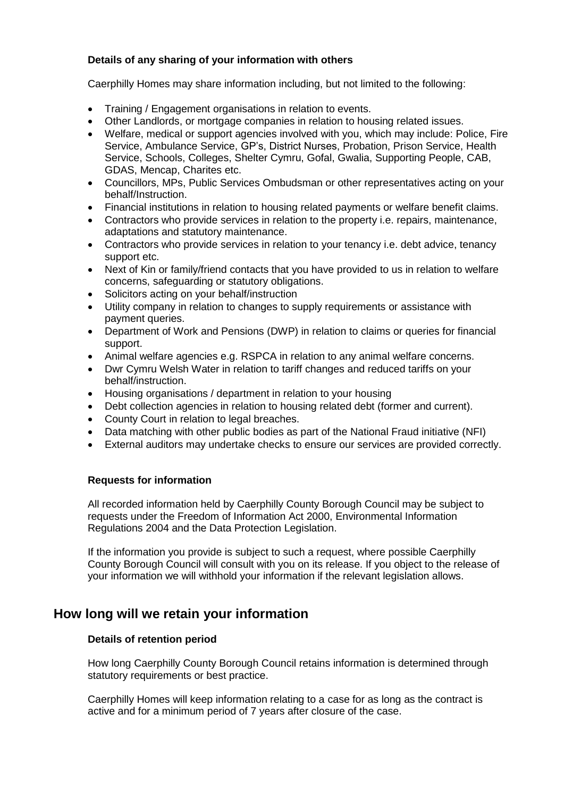#### **Details of any sharing of your information with others**

Caerphilly Homes may share information including, but not limited to the following:

- Training / Engagement organisations in relation to events.
- Other Landlords, or mortgage companies in relation to housing related issues.
- Welfare, medical or support agencies involved with you, which may include: Police, Fire Service, Ambulance Service, GP's, District Nurses, Probation, Prison Service, Health Service, Schools, Colleges, Shelter Cymru, Gofal, Gwalia, Supporting People, CAB, GDAS, Mencap, Charites etc.
- Councillors, MPs, Public Services Ombudsman or other representatives acting on your behalf/Instruction.
- Financial institutions in relation to housing related payments or welfare benefit claims.
- Contractors who provide services in relation to the property i.e. repairs, maintenance, adaptations and statutory maintenance.
- Contractors who provide services in relation to your tenancy i.e. debt advice, tenancy support etc.
- Next of Kin or family/friend contacts that you have provided to us in relation to welfare concerns, safeguarding or statutory obligations.
- Solicitors acting on your behalf/instruction
- Utility company in relation to changes to supply requirements or assistance with payment queries.
- Department of Work and Pensions (DWP) in relation to claims or queries for financial support.
- Animal welfare agencies e.g. RSPCA in relation to any animal welfare concerns.
- Dwr Cymru Welsh Water in relation to tariff changes and reduced tariffs on your behalf/instruction.
- Housing organisations / department in relation to your housing
- Debt collection agencies in relation to housing related debt (former and current).
- County Court in relation to legal breaches.
- Data matching with other public bodies as part of the National Fraud initiative (NFI)
- External auditors may undertake checks to ensure our services are provided correctly.

#### **Requests for information**

All recorded information held by Caerphilly County Borough Council may be subject to requests under the Freedom of Information Act 2000, Environmental Information Regulations 2004 and the Data Protection Legislation.

If the information you provide is subject to such a request, where possible Caerphilly County Borough Council will consult with you on its release. If you object to the release of your information we will withhold your information if the relevant legislation allows.

## **How long will we retain your information**

#### **Details of retention period**

How long Caerphilly County Borough Council retains information is determined through statutory requirements or best practice.

Caerphilly Homes will keep information relating to a case for as long as the contract is active and for a minimum period of 7 years after closure of the case.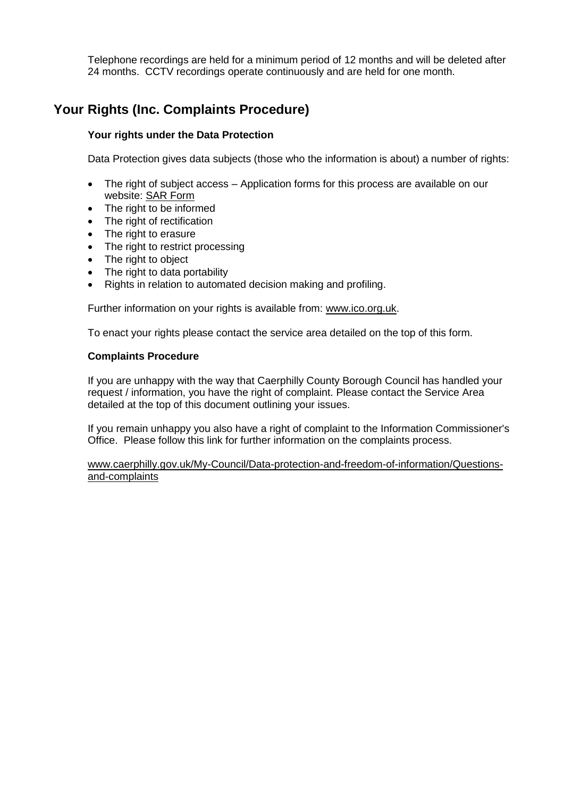Telephone recordings are held for a minimum period of 12 months and will be deleted after 24 months. CCTV recordings operate continuously and are held for one month.

## **Your Rights (Inc. Complaints Procedure)**

#### **Your rights under the Data Protection**

Data Protection gives data subjects (those who the information is about) a number of rights:

- The right of subject access Application forms for this process are available on our website: [SAR Form](http://www.caerphilly.gov.uk/CaerphillyDocs/Council-and-democracy/sar_form.aspx)
- The right to be informed
- The right of rectification
- The right to erasure
- The right to restrict processing
- The right to object
- The right to data portability
- Rights in relation to automated decision making and profiling.

Further information on your rights is available from: [www.ico.org.uk.](http://www.ico.org.uk/)

To enact your rights please contact the service area detailed on the top of this form.

#### **Complaints Procedure**

If you are unhappy with the way that Caerphilly County Borough Council has handled your request / information, you have the right of complaint. Please contact the Service Area detailed at the top of this document outlining your issues.

If you remain unhappy you also have a right of complaint to the Information Commissioner's Office. Please follow this link for further information on the complaints process.

[www.caerphilly.gov.uk/My-Council/Data-protection-and-freedom-of-information/Questions](http://www.caerphilly.gov.uk/My-Council/Data-protection-and-freedom-of-information/Questions-and-complaints)[and-complaints](http://www.caerphilly.gov.uk/My-Council/Data-protection-and-freedom-of-information/Questions-and-complaints)